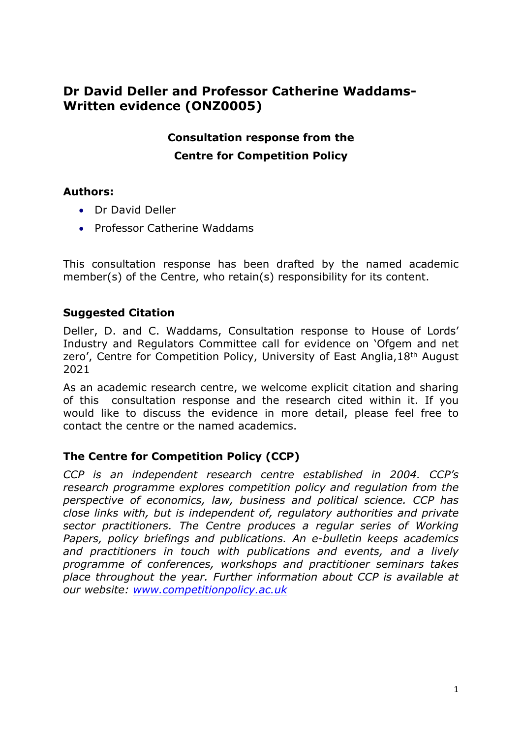# **Dr David Deller and Professor Catherine Waddams-Written evidence (ONZ0005)**

# **Consultation response from the Centre for Competition Policy**

## **Authors:**

- **•** Dr David Deller
- Professor Catherine Waddams

This consultation response has been drafted by the named academic member(s) of the Centre, who retain(s) responsibility for its content.

## **Suggested Citation**

Deller, D. and C. Waddams, Consultation response to House of Lords' Industry and Regulators Committee call for evidence on 'Ofgem and net zero', Centre for Competition Policy, University of East Anglia, 18<sup>th</sup> August 2021

As an academic research centre, we welcome explicit citation and sharing of this consultation response and the research cited within it. If you would like to discuss the evidence in more detail, please feel free to contact the centre or the named academics.

# **The Centre for Competition Policy (CCP)**

*CCP is an independent research centre established in 2004. CCP's research programme explores competition policy and regulation from the perspective of economics, law, business and political science. CCP has close links with, but is independent of, regulatory authorities and private sector practitioners. The Centre produces a regular series of Working Papers, policy briefings and publications. An e-bulletin keeps academics and practitioners in touch with publications and events, and a lively programme of conferences, workshops and practitioner seminars takes place throughout the year. Further information about CCP is available at our website: [www.competitionpolicy.ac.uk](http://www.competitionpolicy.ac.uk/)*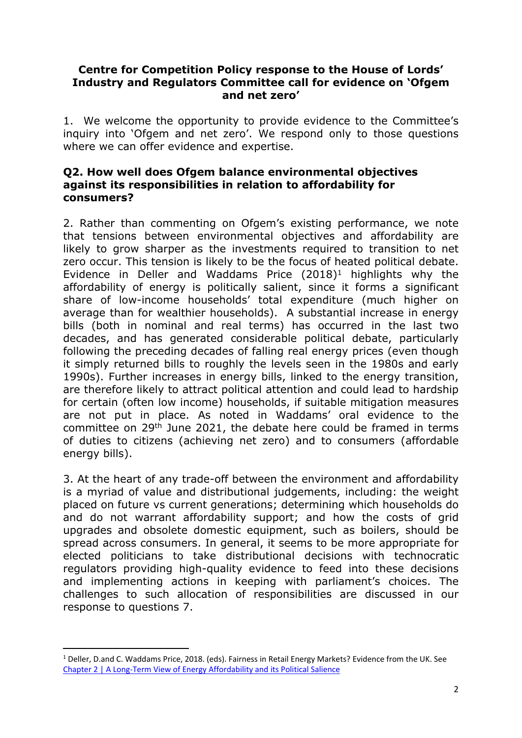#### **Centre for Competition Policy response to the House of Lords' Industry and Regulators Committee call for evidence on 'Ofgem and net zero'**

1. We welcome the opportunity to provide evidence to the Committee's inquiry into 'Ofgem and net zero'. We respond only to those questions where we can offer evidence and expertise.

#### **Q2. How well does Ofgem balance environmental objectives against its responsibilities in relation to affordability for consumers?**

2. Rather than commenting on Ofgem's existing performance, we note that tensions between environmental objectives and affordability are likely to grow sharper as the investments required to transition to net zero occur. This tension is likely to be the focus of heated political debate. Evidence in Deller and Waddams Price (2018)<sup>1</sup> highlights why the affordability of energy is politically salient, since it forms a significant share of low-income households' total expenditure (much higher on average than for wealthier households). A substantial increase in energy bills (both in nominal and real terms) has occurred in the last two decades, and has generated considerable political debate, particularly following the preceding decades of falling real energy prices (even though it simply returned bills to roughly the levels seen in the 1980s and early 1990s). Further increases in energy bills, linked to the energy transition, are therefore likely to attract political attention and could lead to hardship for certain (often low income) households, if suitable mitigation measures are not put in place. As noted in Waddams' oral evidence to the committee on 29th June 2021, the debate here could be framed in terms of duties to citizens (achieving net zero) and to consumers (affordable energy bills).

3. At the heart of any trade-off between the environment and affordability is a myriad of value and distributional judgements, including: the weight placed on future vs current generations; determining which households do and do not warrant affordability support; and how the costs of grid upgrades and obsolete domestic equipment, such as boilers, should be spread across consumers. In general, it seems to be more appropriate for elected politicians to take distributional decisions with technocratic regulators providing high-quality evidence to feed into these decisions and implementing actions in keeping with parliament's choices. The challenges to such allocation of responsibilities are discussed in our response to questions 7.

<sup>1</sup> Deller, D.and C. Waddams Price, 2018. (eds). Fairness in Retail Energy Markets? Evidence from the UK. See [Chapter](https://lred.uea.ac.uk/documents/8158338/18232983/Ch+2+-+Fairness+in+Retail+Energy+Markets+Report.pdf/2b99ba42-5033-38c7-a000-a21d74fc6c6a) [2](https://lred.uea.ac.uk/documents/8158338/18232983/Ch+2+-+Fairness+in+Retail+Energy+Markets+Report.pdf/2b99ba42-5033-38c7-a000-a21d74fc6c6a) [|](https://lred.uea.ac.uk/documents/8158338/18232983/Ch+2+-+Fairness+in+Retail+Energy+Markets+Report.pdf/2b99ba42-5033-38c7-a000-a21d74fc6c6a) [A](https://lred.uea.ac.uk/documents/8158338/18232983/Ch+2+-+Fairness+in+Retail+Energy+Markets+Report.pdf/2b99ba42-5033-38c7-a000-a21d74fc6c6a) [Long-Term](https://lred.uea.ac.uk/documents/8158338/18232983/Ch+2+-+Fairness+in+Retail+Energy+Markets+Report.pdf/2b99ba42-5033-38c7-a000-a21d74fc6c6a) [View](https://lred.uea.ac.uk/documents/8158338/18232983/Ch+2+-+Fairness+in+Retail+Energy+Markets+Report.pdf/2b99ba42-5033-38c7-a000-a21d74fc6c6a) [of](https://lred.uea.ac.uk/documents/8158338/18232983/Ch+2+-+Fairness+in+Retail+Energy+Markets+Report.pdf/2b99ba42-5033-38c7-a000-a21d74fc6c6a) [Energy](https://lred.uea.ac.uk/documents/8158338/18232983/Ch+2+-+Fairness+in+Retail+Energy+Markets+Report.pdf/2b99ba42-5033-38c7-a000-a21d74fc6c6a) [Affordability](https://lred.uea.ac.uk/documents/8158338/18232983/Ch+2+-+Fairness+in+Retail+Energy+Markets+Report.pdf/2b99ba42-5033-38c7-a000-a21d74fc6c6a) [and](https://lred.uea.ac.uk/documents/8158338/18232983/Ch+2+-+Fairness+in+Retail+Energy+Markets+Report.pdf/2b99ba42-5033-38c7-a000-a21d74fc6c6a) [its](https://lred.uea.ac.uk/documents/8158338/18232983/Ch+2+-+Fairness+in+Retail+Energy+Markets+Report.pdf/2b99ba42-5033-38c7-a000-a21d74fc6c6a) [Political](https://lred.uea.ac.uk/documents/8158338/18232983/Ch+2+-+Fairness+in+Retail+Energy+Markets+Report.pdf/2b99ba42-5033-38c7-a000-a21d74fc6c6a) [Salience](https://lred.uea.ac.uk/documents/8158338/18232983/Ch+2+-+Fairness+in+Retail+Energy+Markets+Report.pdf/2b99ba42-5033-38c7-a000-a21d74fc6c6a)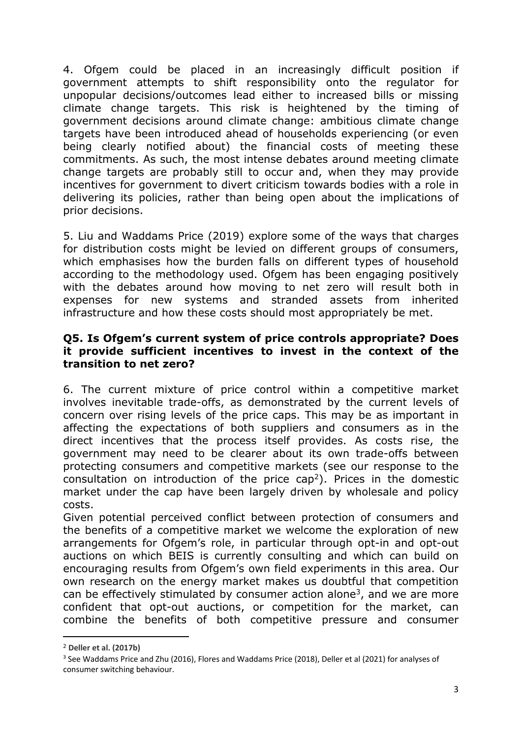4. Ofgem could be placed in an increasingly difficult position if government attempts to shift responsibility onto the regulator for unpopular decisions/outcomes lead either to increased bills or missing climate change targets. This risk is heightened by the timing of government decisions around climate change: ambitious climate change targets have been introduced ahead of households experiencing (or even being clearly notified about) the financial costs of meeting these commitments. As such, the most intense debates around meeting climate change targets are probably still to occur and, when they may provide incentives for government to divert criticism towards bodies with a role in delivering its policies, rather than being open about the implications of prior decisions.

5. Liu and Waddams Price (2019) explore some of the ways that charges for distribution costs might be levied on different groups of consumers, which emphasises how the burden falls on different types of household according to the methodology used. Ofgem has been engaging positively with the debates around how moving to net zero will result both in expenses for new systems and stranded assets from inherited infrastructure and how these costs should most appropriately be met.

### **Q5. Is Ofgem's current system of price controls appropriate? Does it provide sufficient incentives to invest in the context of the transition to net zero?**

6. The current mixture of price control within a competitive market involves inevitable trade-offs, as demonstrated by the current levels of concern over rising levels of the price caps. This may be as important in affecting the expectations of both suppliers and consumers as in the direct incentives that the process itself provides. As costs rise, the government may need to be clearer about its own trade-offs between protecting consumers and competitive markets (see our response to the consultation on introduction of the price cap<sup>2</sup>). Prices in the domestic market under the cap have been largely driven by wholesale and policy costs.

Given potential perceived conflict between protection of consumers and the benefits of a competitive market we welcome the exploration of new arrangements for Ofgem's role, in particular through opt-in and opt-out auctions on which BEIS is currently consulting and which can build on encouraging results from Ofgem's own field experiments in this area. Our own research on the energy market makes us doubtful that competition can be effectively stimulated by consumer action alone<sup>3</sup>, and we are more confident that opt-out auctions, or competition for the market, can combine the benefits of both competitive pressure and consumer

<sup>2</sup> **Deller et al. (2017b)**

<sup>3</sup> See Waddams Price and Zhu (2016), Flores and Waddams Price (2018), Deller et al (2021) for analyses of consumer switching behaviour.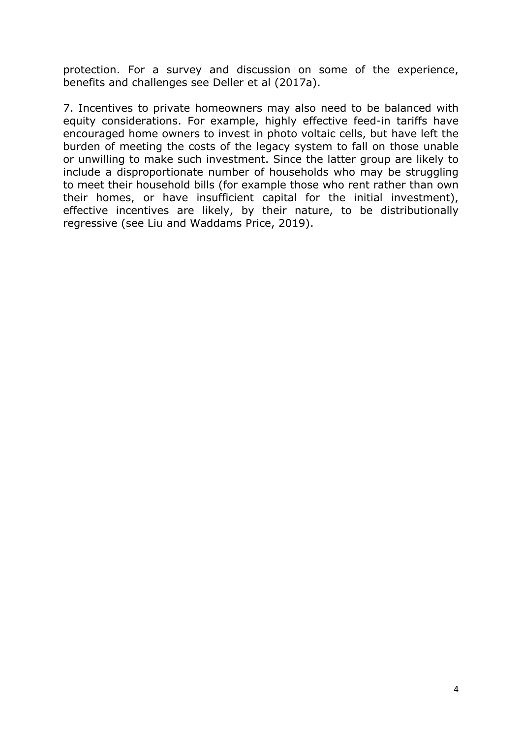protection. For a survey and discussion on some of the experience, benefits and challenges see Deller et al (2017a).

7. Incentives to private homeowners may also need to be balanced with equity considerations. For example, highly effective feed-in tariffs have encouraged home owners to invest in photo voltaic cells, but have left the burden of meeting the costs of the legacy system to fall on those unable or unwilling to make such investment. Since the latter group are likely to include a disproportionate number of households who may be struggling to meet their household bills (for example those who rent rather than own their homes, or have insufficient capital for the initial investment), effective incentives are likely, by their nature, to be distributionally regressive (see Liu and Waddams Price, 2019).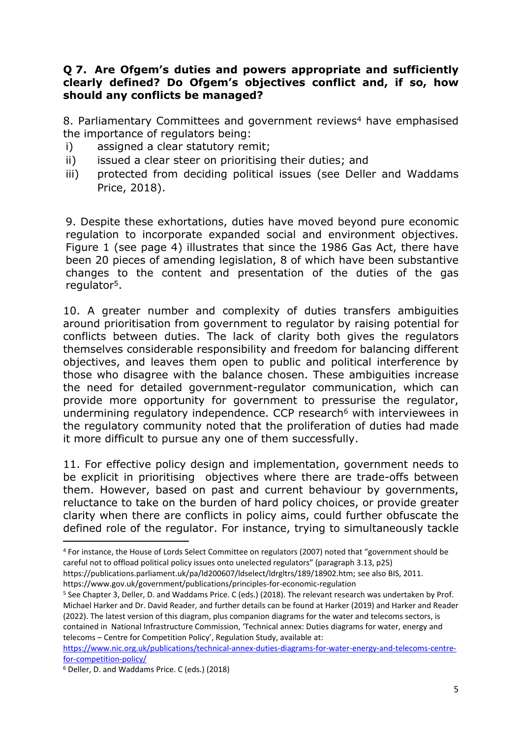### **Q 7. Are Ofgem's duties and powers appropriate and sufficiently clearly defined? Do Ofgem's objectives conflict and, if so, how should any conflicts be managed?**

8. Parliamentary Committees and government reviews<sup>4</sup> have emphasised the importance of regulators being:

- i) assigned a clear statutory remit;
- ii) issued a clear steer on prioritising their duties; and
- iii) protected from deciding political issues (see Deller and Waddams Price, 2018).

9. Despite these exhortations, duties have moved beyond pure economic regulation to incorporate expanded social and environment objectives. Figure 1 (see page 4) illustrates that since the 1986 Gas Act, there have been 20 pieces of amending legislation, 8 of which have been substantive changes to the content and presentation of the duties of the gas regulator<sup>5</sup>.

10. A greater number and complexity of duties transfers ambiguities around prioritisation from government to regulator by raising potential for conflicts between duties. The lack of clarity both gives the regulators themselves considerable responsibility and freedom for balancing different objectives, and leaves them open to public and political interference by those who disagree with the balance chosen. These ambiguities increase the need for detailed government-regulator communication, which can provide more opportunity for government to pressurise the regulator, undermining regulatory independence. CCP research<sup>6</sup> with interviewees in the regulatory community noted that the proliferation of duties had made it more difficult to pursue any one of them successfully.

11. For effective policy design and implementation, government needs to be explicit in prioritising objectives where there are trade-offs between them. However, based on past and current behaviour by governments, reluctance to take on the burden of hard policy choices, or provide greater clarity when there are conflicts in policy aims, could further obfuscate the defined role of the regulator. For instance, trying to simultaneously tackle

<sup>4</sup> For instance, the House of Lords Select Committee on regulators (2007) noted that "government should be careful not to offload political policy issues onto unelected regulators" (paragraph 3.13, p25)

https://publications.parliament.uk/pa/ld200607/ldselect/ldrgltrs/189/18902.htm; see also BIS, 2011.

https://www.gov.uk/government/publications/principles-for-economic-regulation

<sup>5</sup> See Chapter 3, Deller, D. and Waddams Price. C (eds.) (2018). The relevant research was undertaken by Prof. Michael Harker and Dr. David Reader, and further details can be found at Harker (2019) and Harker and Reader (2022). The latest version of this diagram, plus companion diagrams for the water and telecoms sectors, is contained in National Infrastructure Commission, 'Technical annex: Duties diagrams for water, energy and telecoms – Centre for Competition Policy', Regulation Study, available at:

[https://www.nic.org.uk/publications/technical-annex-duties-diagrams-for-water-energy-and-telecoms-centre](https://www.nic.org.uk/publications/technical-annex-duties-diagrams-for-water-energy-and-telecoms-centre-for-competition-policy/)[for-competition-policy/](https://www.nic.org.uk/publications/technical-annex-duties-diagrams-for-water-energy-and-telecoms-centre-for-competition-policy/)

<sup>6</sup> Deller, D. and Waddams Price. C (eds.) (2018)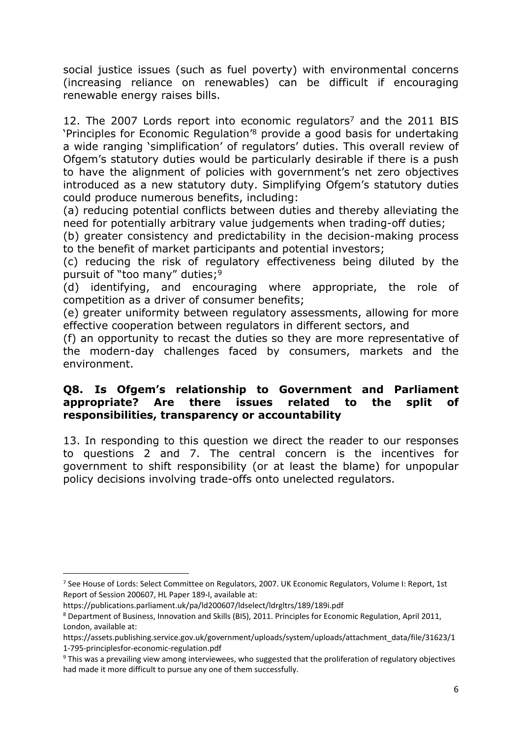social justice issues (such as fuel poverty) with environmental concerns (increasing reliance on renewables) can be difficult if encouraging renewable energy raises bills.

12. The 2007 Lords report into economic regulators<sup>7</sup> and the 2011 BIS 'Principles for Economic Regulation'<sup>8</sup> provide a good basis for undertaking a wide ranging 'simplification' of regulators' duties. This overall review of Ofgem's statutory duties would be particularly desirable if there is a push to have the alignment of policies with government's net zero objectives introduced as a new statutory duty. Simplifying Ofgem's statutory duties could produce numerous benefits, including:

(a) reducing potential conflicts between duties and thereby alleviating the need for potentially arbitrary value judgements when trading-off duties;

(b) greater consistency and predictability in the decision-making process to the benefit of market participants and potential investors;

(c) reducing the risk of regulatory effectiveness being diluted by the pursuit of "too many" duties;<sup>9</sup>

(d) identifying, and encouraging where appropriate, the role of competition as a driver of consumer benefits;

(e) greater uniformity between regulatory assessments, allowing for more effective cooperation between regulators in different sectors, and

(f) an opportunity to recast the duties so they are more representative of the modern-day challenges faced by consumers, markets and the environment.

### **Q8. Is Ofgem's relationship to Government and Parliament appropriate? Are there issues related to the split of responsibilities, transparency or accountability**

13. In responding to this question we direct the reader to our responses to questions 2 and 7. The central concern is the incentives for government to shift responsibility (or at least the blame) for unpopular policy decisions involving trade-offs onto unelected regulators.

<sup>7</sup> See House of Lords: Select Committee on Regulators, 2007. UK Economic Regulators, Volume I: Report, 1st Report of Session 200607, HL Paper 189-I, available at:

https://publications.parliament.uk/pa/ld200607/ldselect/ldrgltrs/189/189i.pdf

<sup>8</sup> Department of Business, Innovation and Skills (BIS), 2011. Principles for Economic Regulation, April 2011, London, available at:

https://assets.publishing.service.gov.uk/government/uploads/system/uploads/attachment\_data/file/31623/1 1-795-principlesfor-economic-regulation.pdf

<sup>9</sup> This was a prevailing view among interviewees, who suggested that the proliferation of regulatory objectives had made it more difficult to pursue any one of them successfully.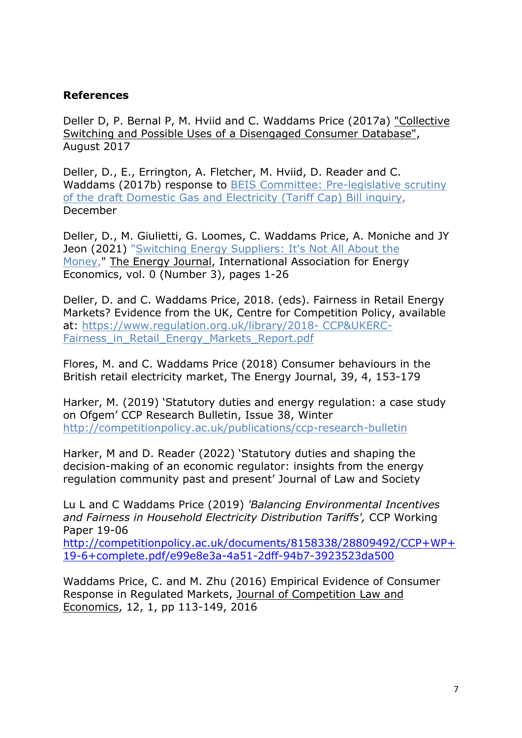## **References**

Deller D, P. Bernal P, M. Hviid and C. Waddams Price (2017a) ["Collective](http://competitionpolicy.ac.uk/documents/8158338/19064125/Collective+Switching+Report+-+August+2017.pdf/127c78b6-faad-4496-b198-f56862230896) [Switching](http://competitionpolicy.ac.uk/documents/8158338/19064125/Collective+Switching+Report+-+August+2017.pdf/127c78b6-faad-4496-b198-f56862230896) [and](http://competitionpolicy.ac.uk/documents/8158338/19064125/Collective+Switching+Report+-+August+2017.pdf/127c78b6-faad-4496-b198-f56862230896) [Possible](http://competitionpolicy.ac.uk/documents/8158338/19064125/Collective+Switching+Report+-+August+2017.pdf/127c78b6-faad-4496-b198-f56862230896) [Uses](http://competitionpolicy.ac.uk/documents/8158338/19064125/Collective+Switching+Report+-+August+2017.pdf/127c78b6-faad-4496-b198-f56862230896) [of](http://competitionpolicy.ac.uk/documents/8158338/19064125/Collective+Switching+Report+-+August+2017.pdf/127c78b6-faad-4496-b198-f56862230896) [a](http://competitionpolicy.ac.uk/documents/8158338/19064125/Collective+Switching+Report+-+August+2017.pdf/127c78b6-faad-4496-b198-f56862230896) [Disengaged](http://competitionpolicy.ac.uk/documents/8158338/19064125/Collective+Switching+Report+-+August+2017.pdf/127c78b6-faad-4496-b198-f56862230896) [Consumer](http://competitionpolicy.ac.uk/documents/8158338/19064125/Collective+Switching+Report+-+August+2017.pdf/127c78b6-faad-4496-b198-f56862230896) [Database"](http://competitionpolicy.ac.uk/documents/8158338/19064125/Collective+Switching+Report+-+August+2017.pdf/127c78b6-faad-4496-b198-f56862230896), August 2017

Deller, D., E., Errington, A. Fletcher, M. Hviid, D. Reader and C. Waddams (2017b) response to [BEIS](http://competitionpolicy.ac.uk/documents/8158338/16525214/6+CCP+response+to+BEIS+Committee+Energy+Price+Cap+Inquiry.pdf/236d419d-d157-2e0e-2eea-0923d75dd035) [Committee:](http://competitionpolicy.ac.uk/documents/8158338/16525214/6+CCP+response+to+BEIS+Committee+Energy+Price+Cap+Inquiry.pdf/236d419d-d157-2e0e-2eea-0923d75dd035) [Pre-legislative](http://competitionpolicy.ac.uk/documents/8158338/16525214/6+CCP+response+to+BEIS+Committee+Energy+Price+Cap+Inquiry.pdf/236d419d-d157-2e0e-2eea-0923d75dd035) [scrutiny](http://competitionpolicy.ac.uk/documents/8158338/16525214/6+CCP+response+to+BEIS+Committee+Energy+Price+Cap+Inquiry.pdf/236d419d-d157-2e0e-2eea-0923d75dd035) [of](http://competitionpolicy.ac.uk/documents/8158338/16525214/6+CCP+response+to+BEIS+Committee+Energy+Price+Cap+Inquiry.pdf/236d419d-d157-2e0e-2eea-0923d75dd035) [the](http://competitionpolicy.ac.uk/documents/8158338/16525214/6+CCP+response+to+BEIS+Committee+Energy+Price+Cap+Inquiry.pdf/236d419d-d157-2e0e-2eea-0923d75dd035) [draft](http://competitionpolicy.ac.uk/documents/8158338/16525214/6+CCP+response+to+BEIS+Committee+Energy+Price+Cap+Inquiry.pdf/236d419d-d157-2e0e-2eea-0923d75dd035) [Domestic](http://competitionpolicy.ac.uk/documents/8158338/16525214/6+CCP+response+to+BEIS+Committee+Energy+Price+Cap+Inquiry.pdf/236d419d-d157-2e0e-2eea-0923d75dd035) [Gas](http://competitionpolicy.ac.uk/documents/8158338/16525214/6+CCP+response+to+BEIS+Committee+Energy+Price+Cap+Inquiry.pdf/236d419d-d157-2e0e-2eea-0923d75dd035) [and](http://competitionpolicy.ac.uk/documents/8158338/16525214/6+CCP+response+to+BEIS+Committee+Energy+Price+Cap+Inquiry.pdf/236d419d-d157-2e0e-2eea-0923d75dd035) [Electricity](http://competitionpolicy.ac.uk/documents/8158338/16525214/6+CCP+response+to+BEIS+Committee+Energy+Price+Cap+Inquiry.pdf/236d419d-d157-2e0e-2eea-0923d75dd035) [\(Tariff](http://competitionpolicy.ac.uk/documents/8158338/16525214/6+CCP+response+to+BEIS+Committee+Energy+Price+Cap+Inquiry.pdf/236d419d-d157-2e0e-2eea-0923d75dd035) [Cap\)](http://competitionpolicy.ac.uk/documents/8158338/16525214/6+CCP+response+to+BEIS+Committee+Energy+Price+Cap+Inquiry.pdf/236d419d-d157-2e0e-2eea-0923d75dd035) [Bill](http://competitionpolicy.ac.uk/documents/8158338/16525214/6+CCP+response+to+BEIS+Committee+Energy+Price+Cap+Inquiry.pdf/236d419d-d157-2e0e-2eea-0923d75dd035) [inquiry,](http://competitionpolicy.ac.uk/documents/8158338/16525214/6+CCP+response+to+BEIS+Committee+Energy+Price+Cap+Inquiry.pdf/236d419d-d157-2e0e-2eea-0923d75dd035) December

Deller, D., M. Giulietti, G. Loomes, C. Waddams Price, A. Moniche and JY Jeon (2021) "[Switching](https://ideas.repec.org/a/aen/journl/ej42-3-waddams.html) [Energy](https://ideas.repec.org/a/aen/journl/ej42-3-waddams.html) [Suppliers:](https://ideas.repec.org/a/aen/journl/ej42-3-waddams.html) [It's](https://ideas.repec.org/a/aen/journl/ej42-3-waddams.html) [Not](https://ideas.repec.org/a/aen/journl/ej42-3-waddams.html) [All](https://ideas.repec.org/a/aen/journl/ej42-3-waddams.html) [About](https://ideas.repec.org/a/aen/journl/ej42-3-waddams.html) [the](https://ideas.repec.org/a/aen/journl/ej42-3-waddams.html) [Money](https://ideas.repec.org/a/aen/journl/ej42-3-waddams.html)," [The](https://ideas.repec.org/s/aen/journl.html) [Energy](https://ideas.repec.org/s/aen/journl.html) [Journal](https://ideas.repec.org/s/aen/journl.html), International Association for Energy Economics, vol. 0 (Number 3), pages 1-26

Deller, D. and C. Waddams Price, 2018. (eds). Fairness in Retail Energy Markets? Evidence from the UK, Centre for Competition Policy, available at: [https://www.regulation.org.uk/library/2018-](https://www.regulation.org.uk/library/2018-%20CCP&UKERC-Fairness_in_Retail_Energy_Markets_Report.pdf) [CCP&UKERC-](https://www.regulation.org.uk/library/2018-%20CCP&UKERC-Fairness_in_Retail_Energy_Markets_Report.pdf)Fairness in Retail Energy Markets Report.pdf

Flores, M. and C. Waddams Price (2018) Consumer behaviours in the British retail electricity market, The Energy Journal, 39, 4, 153-179

Harker, M. (2019) 'Statutory duties and energy regulation: a case study on Ofgem' CCP Research Bulletin, Issue 38, Winter <http://competitionpolicy.ac.uk/publications/ccp-research-bulletin>

Harker, M and D. Reader (2022) 'Statutory duties and shaping the decision-making of an economic regulator: insights from the energy regulation community past and present' Journal of Law and Society

Lu L and C Waddams Price (2019) *'Balancing Environmental Incentives and Fairness in Household Electricity Distribution Tariffs',* CCP Working Paper 19-06

[http://competitionpolicy.ac.uk/documents/8158338/28809492/CCP+WP+](http://competitionpolicy.ac.uk/documents/8158338/28809492/CCP+WP+19-6+complete.pdf/e99e8e3a-4a51-2dff-94b7-3923523da500) [19-6+complete.pdf/e99e8e3a-4a51-2dff-94b7-3923523da500](http://competitionpolicy.ac.uk/documents/8158338/28809492/CCP+WP+19-6+complete.pdf/e99e8e3a-4a51-2dff-94b7-3923523da500)

Waddams Price, C. and M. Zhu (2016) Empirical Evidence of Consumer Response in Regulated Markets, Journal of Competition Law and Economics, 12, 1, pp 113-149, 2016